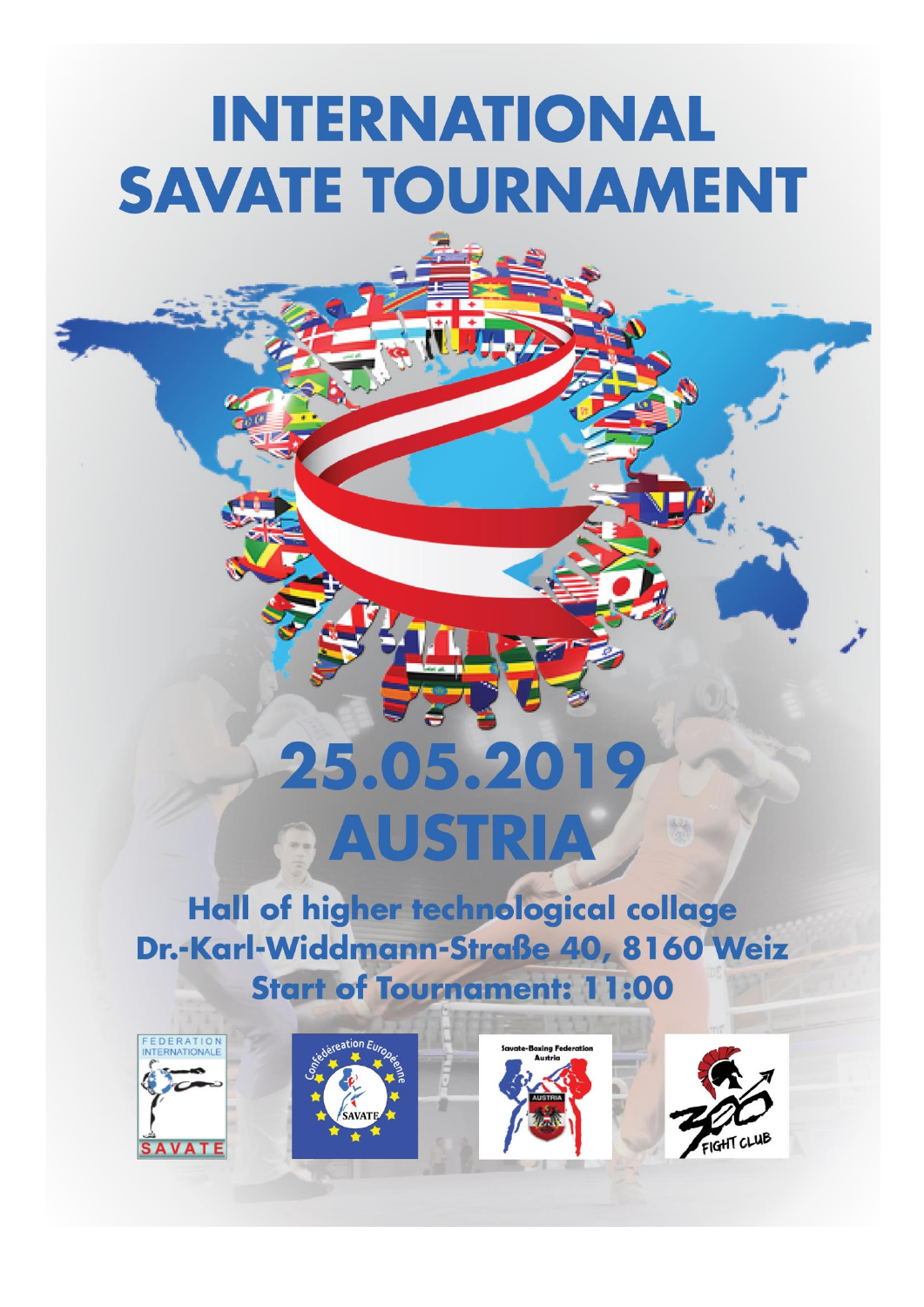## **INTERNATIONAL SAVATE TOURNAMENT**

# 25.05.201 **AUSTRIA**

Hall of higher technological collage Dr.-Karl-Widdmann-Straße 40, 8160 Weiz **Start of Tournament: 11:00** 

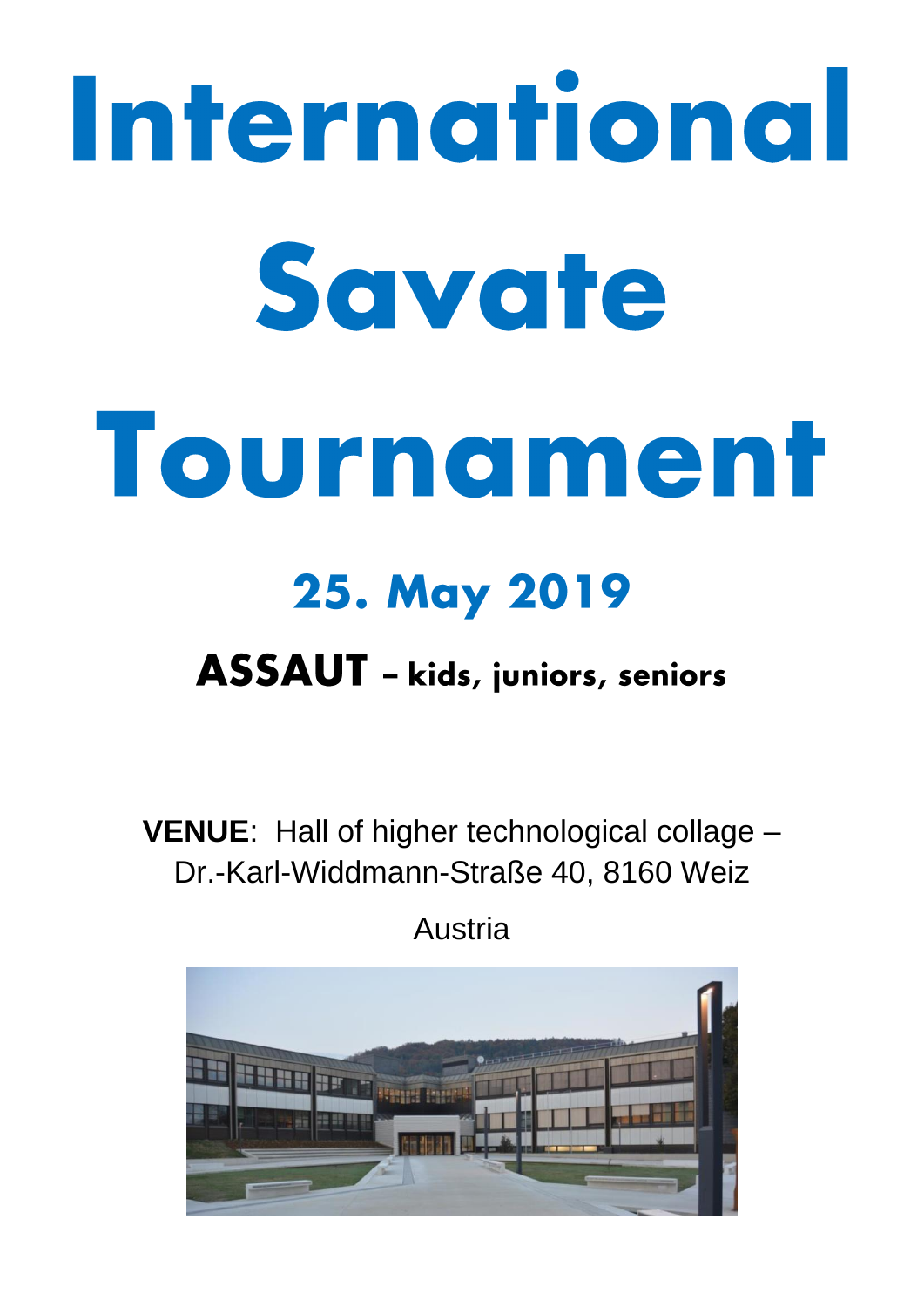# International Savate Tournament **25. May 2019**

### ASSAUT - kids, juniors, seniors

**VENUE**: Hall of higher technological collage – Dr.-Karl-Widdmann-Straße 40, 8160 Weiz

Austria

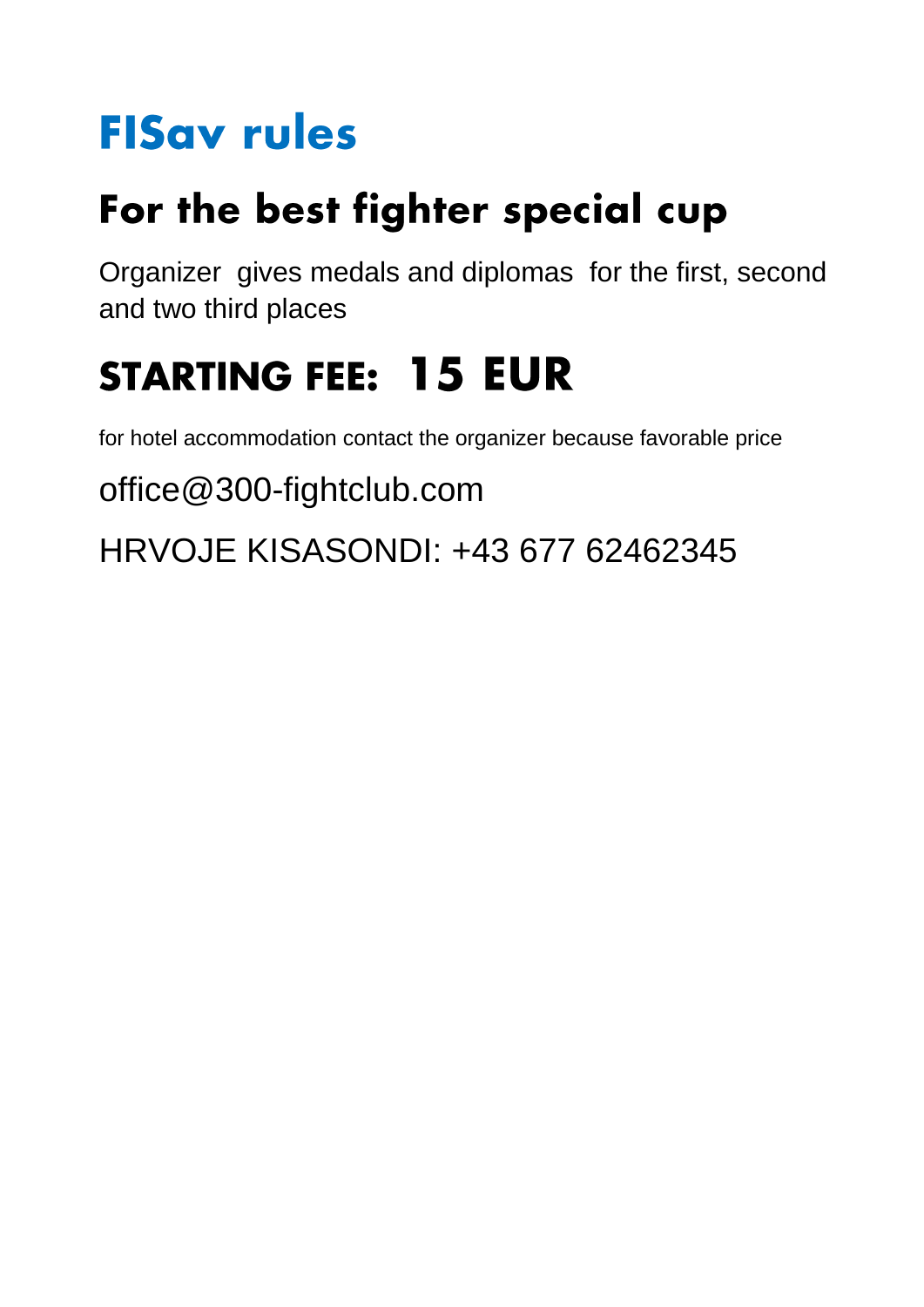## **FISav rules**

## For the best fighter special cup

Organizer gives medals and diplomas for the first, second and two third places

## **STARTING FEE: 15 EUR**

for hotel accommodation contact the organizer because favorable price

office@300-fightclub.com

HRVOJE KISASONDI: +43 677 62462345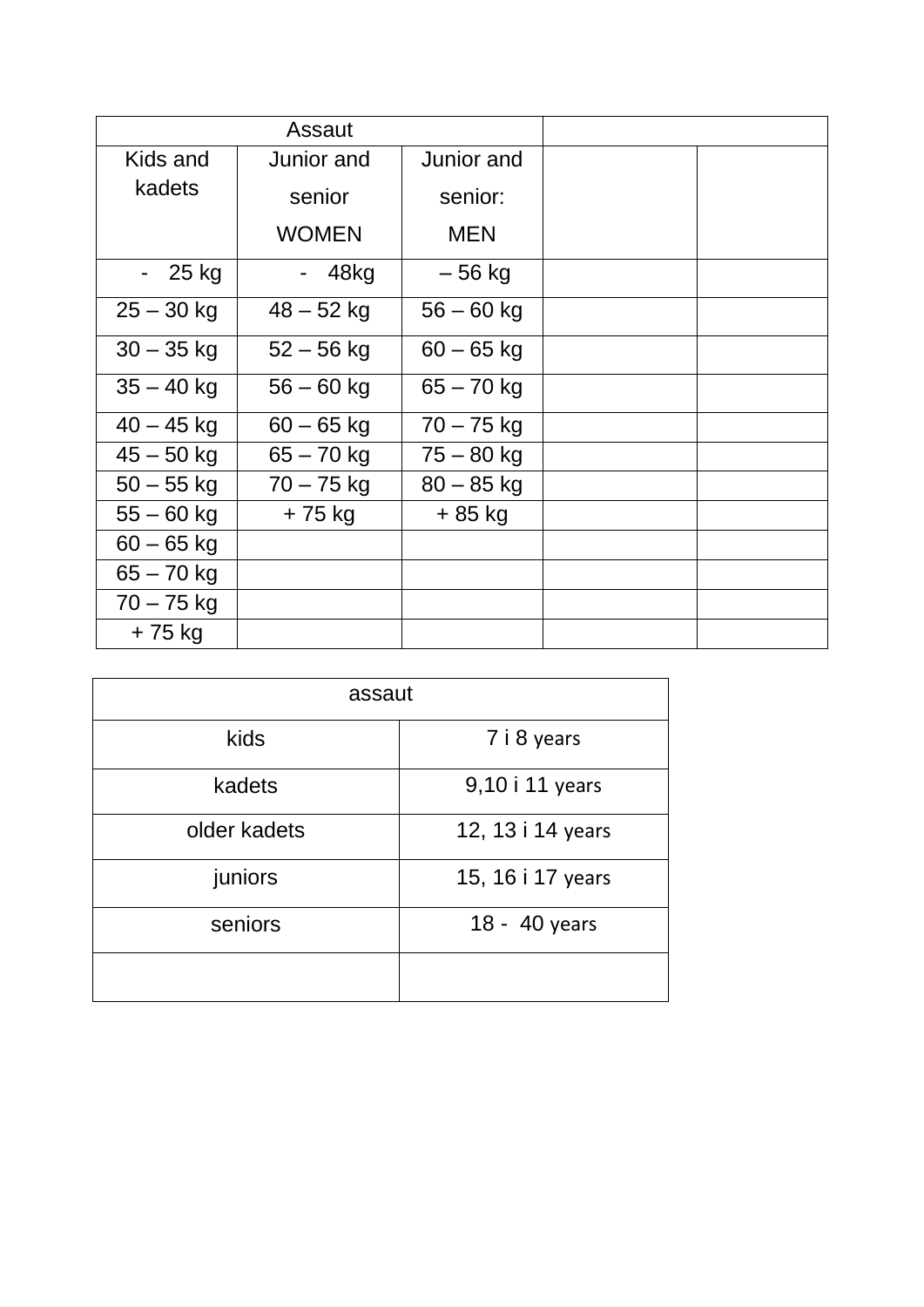| Assaut       |              |              |  |
|--------------|--------------|--------------|--|
| Kids and     | Junior and   | Junior and   |  |
| kadets       | senior       | senior:      |  |
|              | <b>WOMEN</b> | <b>MEN</b>   |  |
| $-25$ kg     | - 48kg       | – 56 kg      |  |
| $25 - 30$ kg | $48 - 52$ kg | $56 - 60$ kg |  |
| $30 - 35$ kg | $52 - 56$ kg | $60 - 65$ kg |  |
| $35 - 40$ kg | $56 - 60$ kg | $65 - 70$ kg |  |
| $40 - 45$ kg | $60 - 65$ kg | $70 - 75$ kg |  |
| $45 - 50$ kg | $65 - 70$ kg | $75 - 80$ kg |  |
| $50 - 55$ kg | $70 - 75$ kg | $80 - 85$ kg |  |
| $55 - 60$ kg | + 75 kg      | + 85 kg      |  |
| $60 - 65$ kg |              |              |  |
| $65 - 70$ kg |              |              |  |
| $70 - 75$ kg |              |              |  |
| +75 kg       |              |              |  |

| assaut       |                   |  |  |  |
|--------------|-------------------|--|--|--|
| kids         | 7 i 8 years       |  |  |  |
| kadets       | 9,10 i 11 years   |  |  |  |
| older kadets | 12, 13 i 14 years |  |  |  |
| juniors      | 15, 16 i 17 years |  |  |  |
| seniors      | 18 - 40 years     |  |  |  |
|              |                   |  |  |  |